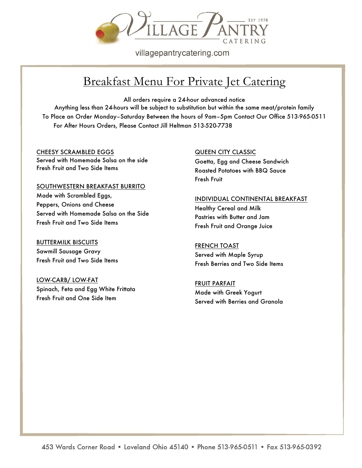

villagepantrycatering.com

## Breakfast Menu For Private Jet Catering

All orders require a 24-hour advanced notice

Anything less than 24-hours will be subject to substitution but within the same meat/protein family To Place an Order Monday–Saturday Between the hours of 9am–5pm Contact Our Office 513-965-0511 For After Hours Orders, Please Contact Jill Heltman 513-520-7738

CHEESY SCRAMBLED EGGS Served with Homemade Salsa on the side Fresh Fruit and Two Side Items

SOUTHWESTERN BREAKFAST BURRITO Made with Scrambled Eggs, Peppers, Onions and Cheese Served with Homemade Salsa on the Side Fresh Fruit and Two Side Items

**BUTTERMILK BISCUITS** Sawmill Sausage Gravy Fresh Fruit and Two Side Items

LOW-CARB/ LOW-FAT Spinach, Feta and Egg White Frittata Fresh Fruit and One Side Item

QUEEN CITY CLASSIC

Goetta, Egg and Cheese Sandwich Roasted Potatoes with BBQ Sauce Fresh Fruit

## INDIVIDUAL CONTINENTAL BREAKFAST

Healthy Cereal and Milk Pastries with Butter and Jam Fresh Fruit and Orange Juice

FRENCH TOAST Served with Maple Syrup Fresh Berries and Two Side Items

FRUIT PARFAIT Made with Greek Yogurt Served with Berries and Granola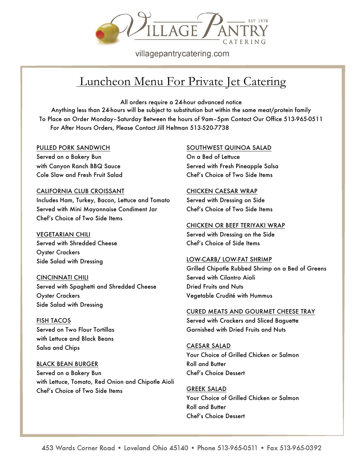

villagepantrycatering.com

# Luncheon Menu For Private Jet Catering

All orders require a 24-hour advanced notice

Anything less than 24-hours will be subject to substitution but within the same meat/protein family To Place an Order Monday–Saturday Between the hours of 9am–5pm Contact Our Office 513-965-0511 For After Hours Orders, Please Contact Jill Heltman 513-520-7738

#### PULLED PORK SANDWICH

Served on a Bakery Bun with Canyon Ranch BBQ Sauce Cole Slaw and Fresh Fruit Salad

## CALIFORNIA CLUB CROISSANT

Includes Ham, Turkey, Bacon, Lettuce and Tomato Served with Mini Mayonnaise Condiment Jar Chef's Choice of Two Side Items

## VEGETARIAN CHILI

Served with Shredded Cheese Oyster Crackers Side Salad with Dressing

## CINCINNATI CHILI

Served with Spaghetti and Shredded Cheese Oyster Crackers Side Salad with Dressing

## FISH TACOS

Served on Two Flour Tortillas with Lettuce and Black Beans Salsa and Chips

## BLACK BEAN BURGER

Served on a Bakery Bun with Lettuce, Tomato, Red Onion and Chipotle Aioli Chef's Choice of Two Side Items

## SOUTHWEST QUINOA SALAD

On a Bed of Lettuce Served with Fresh Pineapple Salsa Chef's Choice of Two Side Items

## CHICKEN CAESAR WRAP

Served with Dressing on Side Chef's Choice of Two Side Items

## CHICKEN OR BEEF TERIYAKI WRAP

Served with Dressing on the Side Chef's Choice of Side Items

## LOW-CARB/ LOW-FAT SHRIMP

Grilled Chipotle Rubbed Shrimp on a Bed of Greens Served with Cilantro Aioli Dried Fruits and Nuts Vegetable Crudité with Hummus

## CURED MEATS AND GOURMET CHEESE TRAY

Served with Crackers and Sliced Baguette Garnished with Dried Fruits and Nuts

## CAESAR SALAD

Your Choice of Grilled Chicken or Salmon Roll and Butter Chef's Choice Dessert

## GREEK SALAD

Your Choice of Grilled Chicken or Salmon Roll and Butter Chef's Choice Dessert